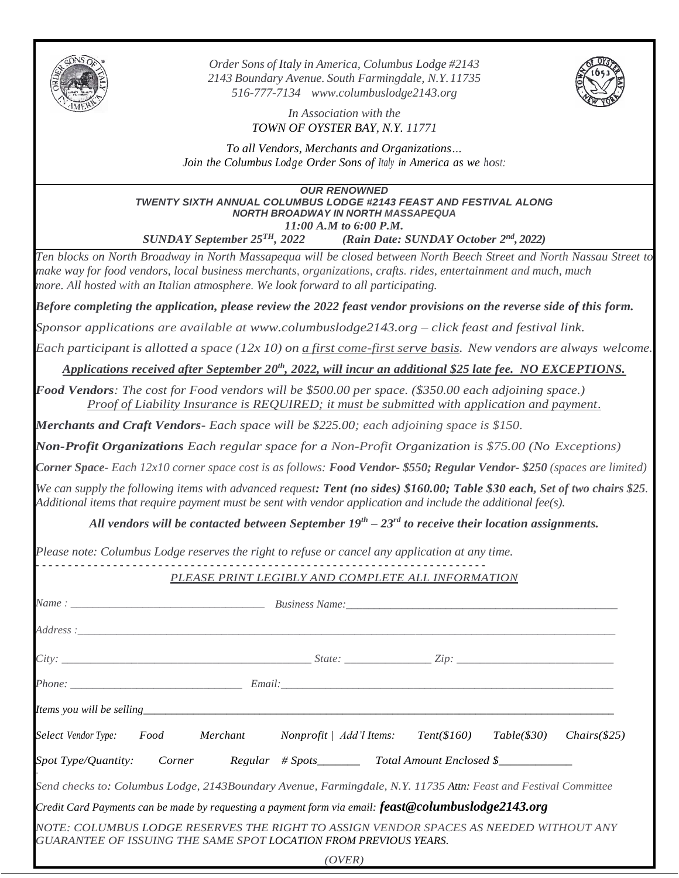

*Order Sons of Italy in America, Columbus Lodge #2143 2143 Boundary Avenue. South Farmingdale, N.Y.11735 516-777-7134 www.columbuslodge2143.org*



*In Association with the TOWN OF OYSTER BAY, N.Y. 11771*

*To all Vendors, Merchants and Organizations… Join the Columbus Lodge Order Sons of Italy in America as we host:*

*OUR RENOWNED TWENTY SIXTH ANNUAL COLUMBUS LODGE #2143 FEAST AND FESTIVAL ALONG NORTH BROADWAY IN NORTH MASSAPEQUA 11:00 A.M to 6:00 P.M.*

*SUNDAY September 25 TH, 2022 (Rain Date: SUNDAY October 2 nd, 2022)*

*Ten blocks on North Broadway in North Massapequa will be closed between North Beech Street and North Nassau Street to make way for food vendors, local business merchants, organizations, crafts. rides, entertainment and much, much more. All hosted with an Italian atmosphere. We look forward to all participating.*

*Before completing the application, please review the 2022 feast vendor provisions on the reverse side of this form.*

*Sponsor applications are available at www.columbuslodge2143.org – click feast and festival link.*

*Each participant is allotted a space (12x 10) on a first come-first serve basis. New vendors are always welcome.*

*Applications received after September 20 th , 2022, will incur an additional \$25 late fee. NO EXCEPTIONS.*

*Food Vendors: The cost for Food vendors will be \$500.00 per space. (\$350.00 each adjoining space.) Proof of Liability Insurance is REQUIRED; it must be submitted with application and payment.*

*Merchants and Craft Vendors- Each space will be \$225.00; each adjoining space is \$150.*

*Non-Profit Organizations Each regular space for a Non-Profit Organization is \$75.00 (No Exceptions)*

*Corner Space- Each 12x10 corner space cost is as follows: Food Vendor- \$550; Regular Vendor- \$250 (spaces are limited)*

*We can supply the following items with advanced request: Tent (no sides) \$160.00; Table \$30 each, Set of two chairs \$25. Additional items that require payment must be sent with vendor application and include the additional fee(s).*

*All vendors will be contacted between September 19th – 23rd to receive their location assignments.*

*Please note: Columbus Lodge reserves the right to refuse or cancel any application at any time.*

## *- - - - - - - - - - - - - - - - - - - - - - - - - - - - - - - - - - - - - - - - - - - - - - - - - - - - - - - - - - - - - - - - - - - - - - PLEASE PRINT LEGIBLY AND COMPLETE ALL INFORMATION*

| $City:$ $\_$ $\qquad \qquad \qquad 2ip:$ $\_$                                                                                                             |  |  |        |  |  |  |  |
|-----------------------------------------------------------------------------------------------------------------------------------------------------------|--|--|--------|--|--|--|--|
|                                                                                                                                                           |  |  |        |  |  |  |  |
|                                                                                                                                                           |  |  |        |  |  |  |  |
| Select Vendor Type: Food Merchant Nonprofit   Add'l Items: Tent(\$160) Table(\$30) Chairs(\$25)                                                           |  |  |        |  |  |  |  |
|                                                                                                                                                           |  |  |        |  |  |  |  |
| Send checks to: Columbus Lodge, 2143Boundary Avenue, Farmingdale, N.Y. 11735 Attn: Feast and Festival Committee                                           |  |  |        |  |  |  |  |
| Credit Card Payments can be made by requesting a payment form via email: feast@columbuslodge2143.org                                                      |  |  |        |  |  |  |  |
| NOTE: COLUMBUS LODGE RESERVES THE RIGHT TO ASSIGN VENDOR SPACES AS NEEDED WITHOUT ANY<br>GUARANTEE OF ISSUING THE SAME SPOT LOCATION FROM PREVIOUS YEARS. |  |  |        |  |  |  |  |
|                                                                                                                                                           |  |  | (OVER) |  |  |  |  |